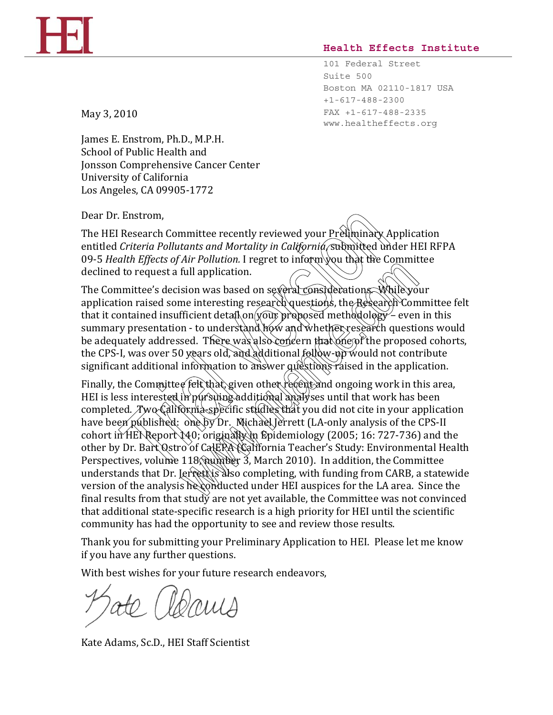## **Health Effects Institute**

101 Federal Street Suite 500 Boston MA 02110-1817 USA +1-617-488-2300 FAX +1-617-488-2335 www.healtheffects.org

May 3, 2010

James E. Enstrom, Ph.D., M.P.H. School of Public Health and Jonsson Comprehensive Cancer Center University of California Los Angeles, CA 09905-1772

Dear Dr. Enstrom,

The HEI Research Committee recently reviewed your Preliminary Application entitled *Criteria Pollutants and Mortality in California*, submitted under HEI RFPA 09-5 *Health Effects of Air Pollution.* I regret to inform you that the Committee declined to request a full application.

The Committee's decision was based on several considerations. While your application raised some interesting research questions, the Research Committee felt that it contained insufficient detail on your proposed methodology – even in this summary presentation - to understand how and whether research questions would be adequately addressed. There was also concern that one of the proposed cohorts, the CPS-I, was over 50 years old, and additional follow-up would not contribute significant additional information to answer questions raised in the application.

Finally, the Committee felt that, given other recent and ongoing work in this area, HEI is less interested in  $p\alpha$  sumpled analyses until that work has been completed. Two California-specific studies that you did not cite in your application have been published: one by Dr. Michael Jerrett (LA-only analysis of the CPS-II cohort in HEN Report 140; originally in Epidemiology (2005; 16: 727-736) and the other by Dr. Bart Qstro of CalERA (California Teacher's Study: Environmental Health Perspectives, volume 118, number 3, March 2010). In addition, the Committee understands that Dr. Jerrett is also completing, with funding from CARB, a statewide version of the analysis he conducted under HEI auspices for the LA area. Since the final results from that study are not yet available, the Committee was not convinced that additional state-specific research is a high priority for HEI until the scientific community has had the opportunity to see and review those results. Enstrom,<br>
I Research Committee recently reviewed your Préliminary<br>
Criteria Pollutants and Mortality in California, submitted un<br>
alth Effects of Air Pollution. I regret to inform you that the C<br>
d to request a full appli full application.<br>
full application.<br>
full application.<br>
full application.<br>
ficient detail on your proposed methodology – even<br>
ficient detail on your proposed methodology – even<br>
ficient detail on your proposed methodolog

Thank you for submitting your Preliminary Application to HEI. Please let me know if you have any further questions.

With best wishes for your future research endeavors,

Kate Adams, Sc.D., HEI Staff Scientist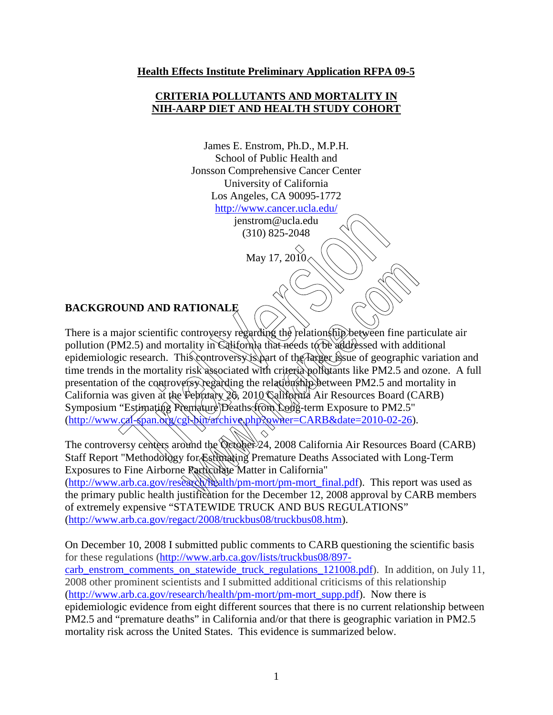## **Health Effects Institute Preliminary Application RFPA 09-5**

## **CRITERIA POLLUTANTS AND MORTALITY IN NIH-AARP DIET AND HEALTH STUDY COHORT**

James E. Enstrom, Ph.D., M.P.H. School of Public Health and Jonsson Comprehensive Cancer Center University of California Los Angeles, CA 90095-1772 <http://www.cancer.ucla.edu/>

> jenstrom@ucla.edu (310) 825-2048

> > May 17, 2010

# **BACKGROUND AND RATIONALE**

There is a major scientific controversy regarding the relationship between fine particulate air pollution (PM2.5) and mortality in California that needs to be addressed with additional epidemiologic research. This controversy is part of the larger issue of geographic variation and time trends in the mortality risk associated with criteria pollutants like PM2.5 and ozone. A full presentation of the controversy regarding the relationship between PM2.5 and mortality in California was given at the February 26, 2010 California Air Resources Board (CARB) Symposium "Estimating Premature Deaths from Long-term Exposure to PM2.5" [\(http://www.cal-span.org/cgi-bin/archive.php?owner=CARB&date=2010-02-26\)](http://www.cal-span.org/cgi-bin/archive.php?owner=CARB&date=2010-02-26). The state of the Control of the Control of the Control of the Control of the Arison of the Control of the Control of the Control of the Control of the control of the control of the control of the control of the control of **ATIONALE**<br>
controversy regarding the relationship between fine paradity in California that needs to be addressed with add<br>
his controversy tspart of the Targer issue of geographic<br>
risk associated with criteria pollutant

The controversy centers around the October 24, 2008 California Air Resources Board (CARB) Staff Report "Methodology for Estimating Premature Deaths Associated with Long-Term Exposures to Fine Airborne Particulate Matter in California" [\(http://www.arb.ca.gov/research/health/pm-mort/pm-mort\\_final.pdf\)](http://www.arb.ca.gov/research/health/pm-mort/pm-mort_final.pdf). This report was used as the primary public health justification for the December 12, 2008 approval by CARB members of extremely expensive "STATEWIDE TRUCK AND BUS REGULATIONS" [\(http://www.arb.ca.gov/regact/2008/truckbus08/truckbus08.htm\)](http://www.arb.ca.gov/regact/2008/truckbus08/truckbus08.htm).

On December 10, 2008 I submitted public comments to CARB questioning the scientific basis for these regulations [\(http://www.arb.ca.gov/lists/truckbus08/897](http://www.arb.ca.gov/lists/truckbus08/897-carb_enstrom_comments_on_statewide_truck_regulations_121008.pdf) carb enstrom comments on statewide truck regulations 121008.pdf). In addition, on July 11, 2008 other prominent scientists and I submitted additional criticisms of this relationship [\(http://www.arb.ca.gov/research/health/pm-mort/pm-mort\\_supp.pdf\)](http://www.arb.ca.gov/research/health/pm-mort/pm-mort_supp.pdf). Now there is epidemiologic evidence from eight different sources that there is no current relationship between PM2.5 and "premature deaths" in California and/or that there is geographic variation in PM2.5 mortality risk across the United States. This evidence is summarized below.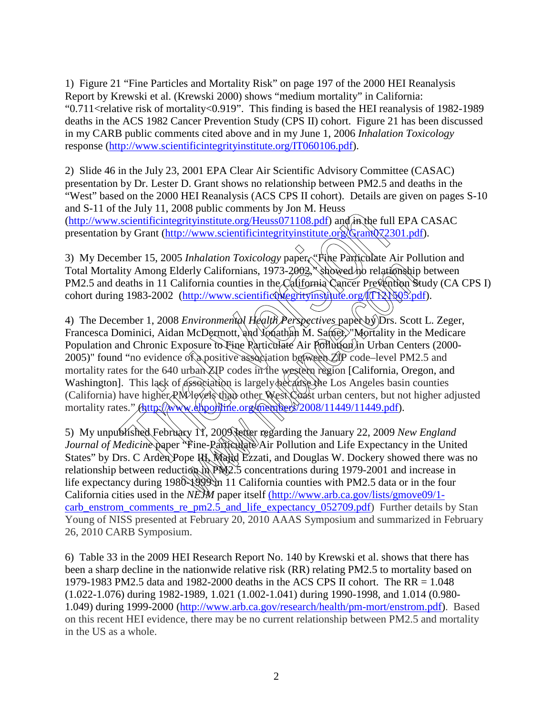1) Figure 21 "Fine Particles and Mortality Risk" on page 197 of the 2000 HEI Reanalysis Report by Krewski et al. (Krewski 2000) shows "medium mortality" in California: "0.711<relative risk of mortality<0.919". This finding is based the HEI reanalysis of 1982-1989 deaths in the ACS 1982 Cancer Prevention Study (CPS II) cohort. Figure 21 has been discussed in my CARB public comments cited above and in my June 1, 2006 *Inhalation Toxicology* response [\(http://www.scientificintegrityinstitute.org/IT060106.pdf\)](http://www.scientificintegrityinstitute.org/IT060106.pdf).

2) Slide 46 in the July 23, 2001 EPA Clear Air Scientific Advisory Committee (CASAC) presentation by Dr. Lester D. Grant shows no relationship between PM2.5 and deaths in the "West" based on the 2000 HEI Reanalysis (ACS CPS II cohort). Details are given on pages S-10 and S-11 of the July 11, 2008 public comments by Jon M. Heuss [\(http://www.scientificintegrityinstitute.org/Heuss071108.pdf\)](http://www.scientificintegrityinstitute.org/Heuss071108.pdf) and in the full EPA CASAC presentation by Grant (http://www.scientificintegrityinstitute.org/Grant072301.pdf).

3) My December 15, 2005 *Inhalation Toxicology* paper, "Fine Particulate Air Pollution and Total Mortality Among Elderly Californians, 1973-2002, showed no relationship between PM2.5 and deaths in 11 California counties in the California Cancer Prevention Study (CA CPS I) cohort during 1983-2002 (http://www.scientificintegrityinstitute.org/IT121505.pdf).

4) The December 1, 2008 *Environmental Health Perspectives* paper by Drs. Scott L. Zeger, Francesca Dominici, Aidan McDermott, and Yonathan M. Samet, "Mortality in the Medicare Population and Chronic Exposure to Fine Particulate Air Pollution in Urban Centers (2000-2005)" found "no evidence of a positive association between  $\overrightarrow{2P}$  code–level PM2.5 and mortality rates for the 640 urban  $\chi$ IP codes in the western region [California, Oregon, and Washington]. This lack of association is largely because the Los Angeles basin counties (California) have higher RM levels than other West Coast urban centers, but not higher adjusted mortality rates." (http://www.ehponline.org/members/2008/11449/11449.pdf). the same of the Hall Meridian of The Taurany 21<br>
Scientificintegrity institute.org/Heuss071108.pdf) and in the full<br>
the scientificintegrity institute.org/Heuss071108.pdf) and in the full<br>
tends to Grant (http://www.scient Lerly Californians, 1973-2002, "Showed ho relationship<br>Lerly Californians, 1973-2002, "Showed ho relationship<br>lifornia counties in the California Cancer Prevention S<br>http://www.scientificshieshityinshilute.org/(TEXNS05.pc<br>

5) My unpublished February 11, 2009 letter regarding the January 22, 2009 *New England Journal of Medicine* paper "Fine-Rarticulate Air Pollution and Life Expectancy in the United States" by Drs. C Arden Pope III, Wajid Ezzati, and Douglas W. Dockery showed there was no relationship between reduction in PM2.5 concentrations during 1979-2001 and increase in life expectancy during 1980-1999 in 11 California counties with PM2.5 data or in the four California cities used in the *NEJM* paper itself [\(http://www.arb.ca.gov/lists/gmove09/1](http://www.arb.ca.gov/lists/gmove09/1-carb_enstrom_comments_re_pm2.5_and_life_expectancy_052709.pdf) carb enstrom comments re pm2.5 and life expectancy 052709.pdf) Further details by Stan Young of NISS presented at February 20, 2010 AAAS Symposium and summarized in February 26, 2010 CARB Symposium.

6) Table 33 in the 2009 HEI Research Report No. 140 by Krewski et al. shows that there has been a sharp decline in the nationwide relative risk (RR) relating PM2.5 to mortality based on 1979-1983 PM2.5 data and 1982-2000 deaths in the ACS CPS II cohort. The RR = 1.048 (1.022-1.076) during 1982-1989, 1.021 (1.002-1.041) during 1990-1998, and 1.014 (0.980- 1.049) during 1999-2000 [\(http://www.arb.ca.gov/research/health/pm-mort/enstrom.pdf\)](http://www.arb.ca.gov/research/health/pm-mort/enstrom.pdf). Based on this recent HEI evidence, there may be no current relationship between PM2.5 and mortality in the US as a whole.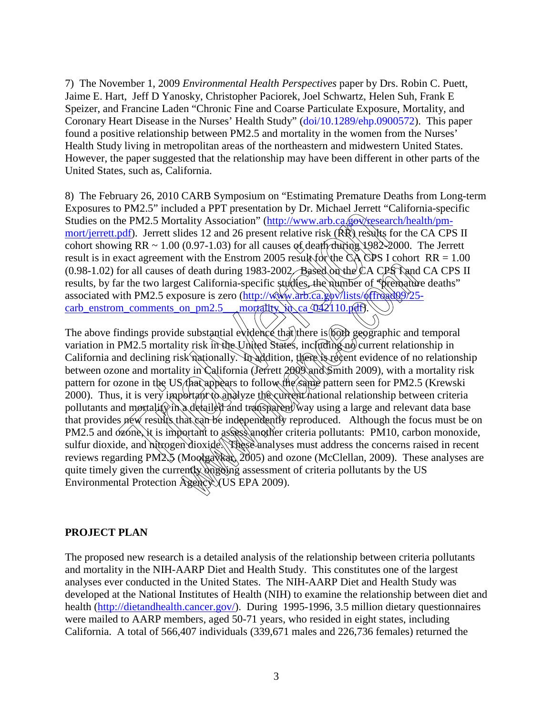7) The November 1, 2009 *Environmental Health Perspectives* paper by Drs. Robin C. Puett, Jaime E. Hart, Jeff D Yanosky, Christopher Paciorek, Joel Schwartz, Helen Suh, Frank E Speizer, and Francine Laden "Chronic Fine and Coarse Particulate Exposure, Mortality, and Coronary Heart Disease in the Nurses' Health Study" [\(doi/10.1289/ehp.0900572\)](http://ehp03.niehs.nih.gov/article/fetchArticle.action?articleURI=info:doi/10.1289/ehp.0900572). This paper found a positive relationship between PM2.5 and mortality in the women from the Nurses' Health Study living in metropolitan areas of the northeastern and midwestern United States. However, the paper suggested that the relationship may have been different in other parts of the United States, such as, California.

8) The February 26, 2010 CARB Symposium on "Estimating Premature Deaths from Long-term Exposures to PM2.5" included a PPT presentation by Dr. Michael Jerrett "California-specific Studies on the PM2.5 Mortality Association" (http://www.arb.ca/gov/research/health/pm[mort/jerrett.pdf\)](http://www.arb.ca.gov/research/health/pm-mort/jerrett.pdf). Jerrett slides 12 and 26 present relative risk (RR) results for the CA CPS II cohort showing RR ~ 1.00 (0.97-1.03) for all causes of death during  $1982-2000$ . The Jerrett result is in exact agreement with the Enstrom 2005 result for the CA CPS I cohort RR =  $1.00$ (0.98-1.02) for all causes of death during 1983-2002. Based on the CA CPS Rand CA CPS II results, by far the two largest California-specific studies, the number of "premature deaths" associated with PM2.5 exposure is zero  $(\frac{http://www.arb.ca.glov/lists/offr}{http://www.arb.ca.glov/lists/offr})$ carb\_enstrom\_comments\_on\_pm2.5\_\_\_ mortality.

The above findings provide substantial evidence that there is both geographic and temporal variation in PM2.5 mortality risk in the United States, including no current relationship in California and declining risk nationally. In addition, there is recent evidence of no relationship between ozone and mortality in California (Jerrett 2009) and Smith 2009), with a mortality risk pattern for ozone in the US that appears to follow the same pattern seen for PM2.5 (Krewski 2000). Thus, it is very important to analyze the current national relationship between criteria pollutants and mortality in a detailed and transparent way using a large and relevant data base that provides new results that can be independently reproduced. Although the focus must be on PM2.5 and  $\delta$ zone, it is important to assess another criteria pollutants: PM10, carbon monoxide, sulfur dioxide, and nitrogen dioxide. These analyses must address the concerns raised in recent reviews regarding PM2.5 (Moolgavkar, 2005) and ozone (McClellan, 2009). These analyses are quite timely given the currently ongoing assessment of criteria pollutants by the US Environmental Protection Agency (US EPA 2009). of Praz.5 metaded at Presidental or to the contract of the pM2.5 Mortality Association" (http://www.arb.ca/govesses<br>
pdf). Ierrett slides 12 and 26 present relative risk (RR) results<br>
ring RR ~ 1.00 (0.97-1.03) for all ca f death during 1983-2002. Based on the CA CPS Tand<br>st California-specific studies, the number of speechaft<br>st California-specific studies, the number of speechaft<br>osure is zero (http://www.arb.ca.gov/lists/offroad0925<br>on

## **PROJECT PLAN**

The proposed new research is a detailed analysis of the relationship between criteria pollutants and mortality in the NIH-AARP Diet and Health Study. This constitutes one of the largest analyses ever conducted in the United States. The NIH-AARP Diet and Health Study was developed at the National Institutes of Health (NIH) to examine the relationship between diet and health [\(http://dietandhealth.cancer.gov/\)](http://dietandhealth.cancer.gov/). During 1995-1996, 3.5 million dietary questionnaires were mailed to AARP members, aged 50-71 years, who resided in eight states, including California. A total of 566,407 individuals (339,671 males and 226,736 females) returned the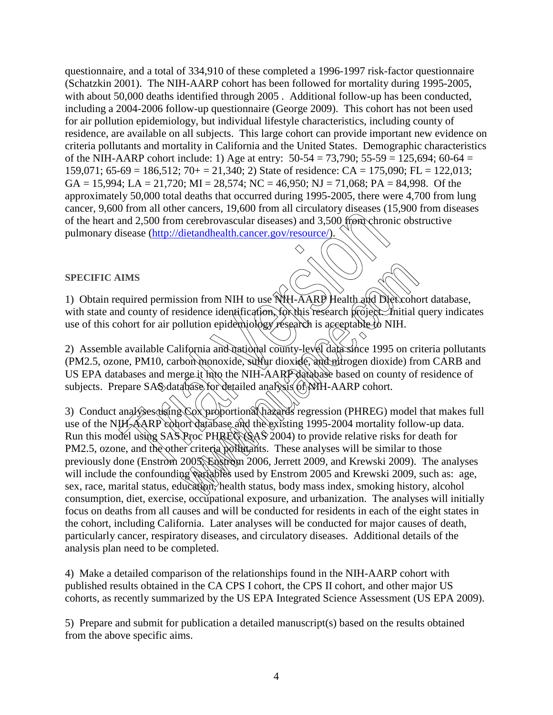questionnaire, and a total of 334,910 of these completed a 1996-1997 risk-factor questionnaire (Schatzkin 2001). The NIH-AARP cohort has been followed for mortality during 1995-2005, with about 50,000 deaths identified through 2005. Additional follow-up has been conducted, including a 2004-2006 follow-up questionnaire (George 2009). This cohort has not been used for air pollution epidemiology, but individual lifestyle characteristics, including county of residence, are available on all subjects. This large cohort can provide important new evidence on criteria pollutants and mortality in California and the United States. Demographic characteristics of the NIH-AARP cohort include: 1) Age at entry:  $50-54 = 73,790$ ;  $55-59 = 125,694$ ;  $60-64 =$ 159,071; 65-69 = 186,512; 70+ = 21,340; 2) State of residence: CA = 175,090; FL = 122,013;  $GA = 15,994$ ;  $LA = 21,720$ ;  $MI = 28,574$ ;  $NC = 46,950$ ;  $NJ = 71,068$ ;  $PA = 84,998$ . Of the approximately 50,000 total deaths that occurred during 1995-2005, there were 4,700 from lung cancer, 9,600 from all other cancers, 19,600 from all circulatory diseases (15,900 from diseases of the heart and 2,500 from cerebrovascular diseases) and 3,500 from chronic obstructive pulmonary disease (http://dietandhealth.cancer.gov/resource/).

## **SPECIFIC AIMS**

1) Obtain required permission from NIH to use NIH-AARP Health and Diet cohort database, with state and county of residence identification, for this research project. Initial query indicates use of this cohort for air pollution epidemiology research is acceptable to NIH.

2) Assemble available California and national county-level data since 1995 on criteria pollutants (PM2.5, ozone, PM10, carbon monoxide, sulfur dioxide, and nitrogen dioxide) from CARB and US EPA databases and merge it into the NIH-AARP database based on county of residence of subjects. Prepare SAS database for detailed analysis (of NIH-AARP cohort.

3) Conduct analyses using Cox proportional hazards regression (PHREG) model that makes full use of the NIH-AARP cohort database and the existing 1995-2004 mortality follow-up data. Run this model using SAS Proc PHREG (SAS 2004) to provide relative risks for death for PM2.5, ozone, and the other criteria pollutants. These analyses will be similar to those previously done (Enstrom 2005, Enstrom 2006, Jerrett 2009, and Krewski 2009). The analyses will include the confounding variables used by Enstrom 2005 and Krewski 2009, such as: age, sex, race, marital status, education, health status, body mass index, smoking history, alcohol consumption, diet, exercise, occupational exposure, and urbanization. The analyses will initially focus on deaths from all causes and will be conducted for residents in each of the eight states in the cohort, including California. Later analyses will be conducted for major causes of death, particularly cancer, respiratory diseases, and circulatory diseases. Additional details of the analysis plan need to be completed. Fr[o](http://dietandhealth.cancer.gov/resource/)m an one cancels, Fr, OUNTED MARE (Section 2005)<br>Trial Version (Figure 2014) and 2,500 from crebrovascular diseases) and 3,500 from chronical<br>disease (http://dietandhealth.cancer.gov/resource/).<br>AIMS<br>aquired permission sion from NIH to use NIH-AARP Health and Dieticohosidence identification, for this research project. Initial ellution epidemiology research is acceptable to NIH.<br>
ifornia and national county-level data since 1995 on crise

4) Make a detailed comparison of the relationships found in the NIH-AARP cohort with published results obtained in the CA CPS I cohort, the CPS II cohort, and other major US cohorts, as recently summarized by the US EPA Integrated Science Assessment (US EPA 2009).

5) Prepare and submit for publication a detailed manuscript(s) based on the results obtained from the above specific aims.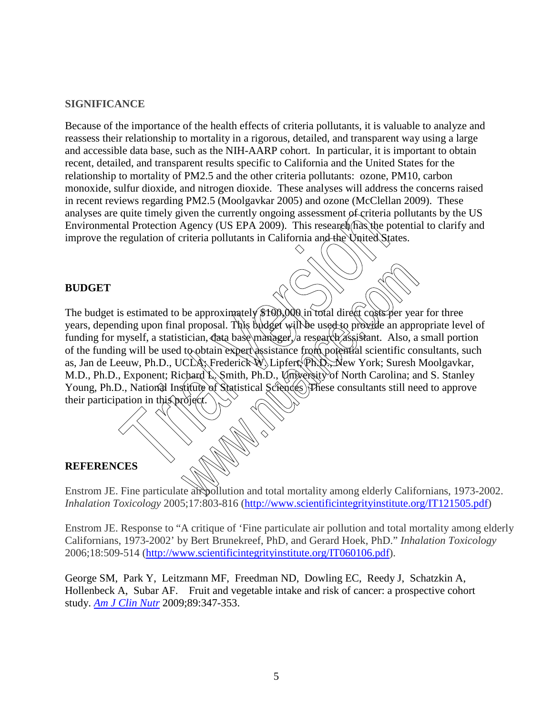## **SIGNIFICANCE**

Because of the importance of the health effects of criteria pollutants, it is valuable to analyze and reassess their relationship to mortality in a rigorous, detailed, and transparent way using a large and accessible data base, such as the NIH-AARP cohort. In particular, it is important to obtain recent, detailed, and transparent results specific to California and the United States for the relationship to mortality of PM2.5 and the other criteria pollutants: ozone, PM10, carbon monoxide, sulfur dioxide, and nitrogen dioxide. These analyses will address the concerns raised in recent reviews regarding PM2.5 (Moolgavkar 2005) and ozone (McClellan 2009). These analyses are quite timely given the currently ongoing assessment of criteria pollutants by the US Environmental Protection Agency (US EPA 2009). This research has the potential to clarify and improve the regulation of criteria pollutants in California and the United States.

## **BUDGET**

The budget is estimated to be approximately \$100,000 in total direct costs per year for three years, depending upon final proposal. This budget will be used to provide an appropriate level of funding for myself, a statistician, data base manager, a research assistant. Also, a small portion of the funding will be used to obtain expert assistance from potential scientific consultants, such as, Jan de Leeuw, Ph.D., UCLA; Frederick W. Lipfert, Ph.D., New York; Suresh Moolgavkar, M.D., Ph.D., Exponent; Richard L. Smith, Ph.D., Umixersity of North Carolina; and S. Stanley Young, Ph.D., National Institute of Statistical Sciences Frese consultants still need to approve their participation in this project i quite timely given the currently ongoing assessment of criteria<br>tal Protection Agency (US EPA 2009). This research flas the pregulation of criteria pollutants in California and the United St<br>regulation of criteria pollut be approximately \$100,000 in total direct costs per year<br>I proposal. This budget will be used to provide an appr<br>tician, data base manager, a research assistant. Also, a<br>to obtain expert assistance from potential scientifi

## **REFERENCES**

Enstrom JE. Fine particulate air pollution and total mortality among elderly Californians, 1973-2002. *Inhalation Toxicology* 2005;17:803-816 [\(http://www.scientificintegrityinstitute.org/IT121505.pdf\)](http://www.scientificintegrityinstitute.org/IT121505.pdf)

Enstrom JE. Response to "A critique of 'Fine particulate air pollution and total mortality among elderly Californians, 1973-2002' by Bert Brunekreef, PhD, and Gerard Hoek, PhD." *Inhalation Toxicology* 2006;18:509-514 [\(http://www.scientificintegrityinstitute.org/IT060106.pdf\)](http://www.scientificintegrityinstitute.org/IT060106.pdf).

[George SM,](http://www.ncbi.nlm.nih.gov/pubmed?term=%22George%20SM%22%5BAuthor%5D&itool=EntrezSystem2.PEntrez.Pubmed.Pubmed_ResultsPanel.Pubmed_RVAbstract) [Park Y,](http://www.ncbi.nlm.nih.gov/pubmed?term=%22Park%20Y%22%5BAuthor%5D&itool=EntrezSystem2.PEntrez.Pubmed.Pubmed_ResultsPanel.Pubmed_RVAbstract) [Leitzmann MF,](http://www.ncbi.nlm.nih.gov/pubmed?term=%22Leitzmann%20MF%22%5BAuthor%5D&itool=EntrezSystem2.PEntrez.Pubmed.Pubmed_ResultsPanel.Pubmed_RVAbstract) [Freedman ND,](http://www.ncbi.nlm.nih.gov/pubmed?term=%22Freedman%20ND%22%5BAuthor%5D&itool=EntrezSystem2.PEntrez.Pubmed.Pubmed_ResultsPanel.Pubmed_RVAbstract) [Dowling EC,](http://www.ncbi.nlm.nih.gov/pubmed?term=%22Dowling%20EC%22%5BAuthor%5D&itool=EntrezSystem2.PEntrez.Pubmed.Pubmed_ResultsPanel.Pubmed_RVAbstract) [Reedy J,](http://www.ncbi.nlm.nih.gov/pubmed?term=%22Reedy%20J%22%5BAuthor%5D&itool=EntrezSystem2.PEntrez.Pubmed.Pubmed_ResultsPanel.Pubmed_RVAbstract) [Schatzkin A,](http://www.ncbi.nlm.nih.gov/pubmed?term=%22Schatzkin%20A%22%5BAuthor%5D&itool=EntrezSystem2.PEntrez.Pubmed.Pubmed_ResultsPanel.Pubmed_RVAbstract) [Hollenbeck A,](http://www.ncbi.nlm.nih.gov/pubmed?term=%22Hollenbeck%20A%22%5BAuthor%5D&itool=EntrezSystem2.PEntrez.Pubmed.Pubmed_ResultsPanel.Pubmed_RVAbstract) [Subar AF.](http://www.ncbi.nlm.nih.gov/pubmed?term=%22Subar%20AF%22%5BAuthor%5D&itool=EntrezSystem2.PEntrez.Pubmed.Pubmed_ResultsPanel.Pubmed_RVAbstract) Fruit and vegetable intake and risk of cancer: a prospective cohort study. *[Am J Clin Nutr](javascript:AL_get(this,%20)* 2009;89:347-353.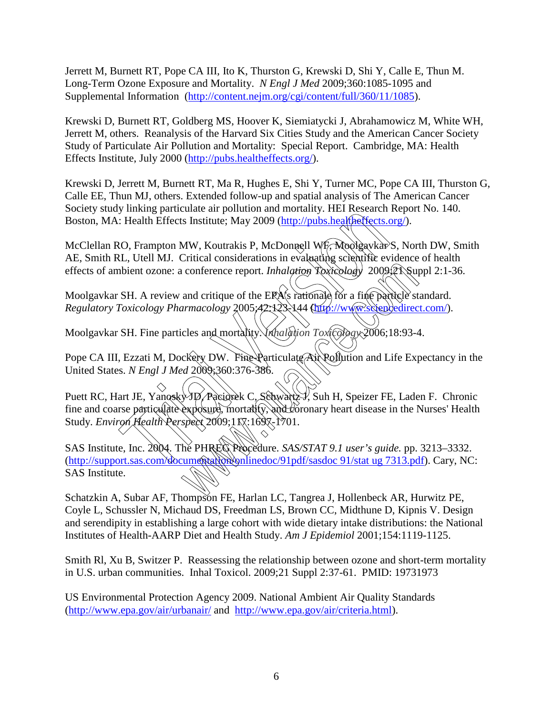Jerrett M, Burnett RT, Pope CA III, Ito K, Thurston G, Krewski D, Shi Y, Calle E, Thun M. Long-Term Ozone Exposure and Mortality. *N Engl J Med* 2009;360:1085-1095 and Supplemental Information [\(http://content.nejm.org/cgi/content/full/360/11/1085\)](http://content.nejm.org/cgi/content/full/360/11/1085).

Krewski D, Burnett RT, Goldberg MS, Hoover K, Siemiatycki J, Abrahamowicz M, White WH, Jerrett M, others. Reanalysis of the Harvard Six Cities Study and the American Cancer Society Study of Particulate Air Pollution and Mortality: Special Report. Cambridge, MA: Health Effects Institute, July 2000 [\(http://pubs.healtheffects.org/\)](http://pubs.healtheffects.org/).

Krewski D, Jerrett M, Burnett RT, Ma R, Hughes E, Shi Y, Turner MC, Pope CA III, Thurston G, Calle EE, Thun MJ, others. Extended follow-up and spatial analysis of The American Cancer Society study linking particulate air pollution and mortality. HEI Research Report No. 140. Boston, MA: Health Effects Institute; May 2009 [\(http://pubs.healtheffects.org/\)](http://pubs.healtheffects.org/).

McClellan RO, Frampton MW, Koutrakis P, McDonnell WF, Moolgavkar S, North DW, Smith AE, Smith RL, Utell MJ. Critical considerations in evaluating scientific evidence of health [effects of ambient ozone: a conference report.](http://www.ncbi.nlm.nih.gov/pubmed/19731972?itool=EntrezSystem2.PEntrez.Pubmed.Pubmed_ResultsPanel.Pubmed_RVDocSum&ordinalpos=14) *Inhalation*  $\chi$  *Toxicology* 2009; $\chi$  Suppl 2:1-36. From Health Perspect 2009;360:376-386.<br>
Range particular Consideration and Microsofthe Reserves the Reserves of the Reserves of the Health Effects.<br>
RD, Frampton MW, Koutrakis P, McDonnell WF. Moolgaykar<br>
RL, Utell MJ. Cr

Moolgavkar SH. [A review and critique of the EPA's rationale for a fine particle standard.](http://www.ncbi.nlm.nih.gov/pubmed/15896449?ordinalpos=15&itool=EntrezSystem2.PEntrez.Pubmed.Pubmed_ResultsPanel.Pubmed_DefaultReportPanel.Pubmed_RVDocSum) *Regulatory Toxicology Pharmacology* 2005;42:123-144 [\(http://www.sciencedirect.com/\)](http://www.sciencedirect.com/).

Moolgavkar SH. Fine particles and mortality. *Inhalation Toxicology* 2006;18:93-4.

Pope CA III, Ezzati M, Dockery DW. Fine-Particulate Air Pollution and Life Expectancy in the United States. *N Engl J Med* 2009;360:376-386.

Puett RC, Hart JE, Yanosky JD, Paciorek C, Schwartz J, Suh H, Speizer FE, Laden F. Chronic fine and coarse particulate exposure, mortality, and coronary heart disease in the Nurses' Health [Study.](http://www.ncbi.nlm.nih.gov/pubmed/20049120) *Environ Health Perspect* 2009;117:1697-1701.

SAS Institute, Inc. 2004. The PHREG Procedure. *SAS/STAT 9.1 user's guide.* pp. 3213–3332. [\(http://support.sas.com/documentation/onlinedoc/91pdf/sasdoc 91/stat ug 7313.pdf\)](http://support.sas.com/documentation/onlinedoc/91pdf/sasdoc%2091/stat%20ug%207313.pdf). Cary, NC: SAS Institute. conference report. *Inhalation Toxicology* 2009.27 Support conference report. *Inhalation Toxicology* 2009.27 Support and critique of the ERA's rationale for a fine particle strandology 2005.42:123:144 (http://www.sstepped

Schatzkin A, Subar AF, Thompson FE, Harlan LC, Tangrea J, Hollenbeck AR, Hurwitz PE, Coyle L, Schussler N, Michaud DS, Freedman LS, Brown CC, Midthune D, Kipnis V. [Design](http://www.ncbi.nlm.nih.gov/pubmed/11744517)  [and serendipity in establishing a large cohort with wide dietary intake distributions: the National](http://www.ncbi.nlm.nih.gov/pubmed/11744517)  [Institutes of Health-AARP Diet and Health Study.](http://www.ncbi.nlm.nih.gov/pubmed/11744517) *Am J Epidemiol* 2001;154:1119-1125.

Smith Rl, Xu B, Switzer P. [Reassessing the relationship between ozone and short-term mortality](http://www.ncbi.nlm.nih.gov/pubmed/19731973?itool=EntrezSystem2.PEntrez.Pubmed.Pubmed_ResultsPanel.Pubmed_RVDocSum&ordinalpos=13)  [in U.S. urban communities.](http://www.ncbi.nlm.nih.gov/pubmed/19731973?itool=EntrezSystem2.PEntrez.Pubmed.Pubmed_ResultsPanel.Pubmed_RVDocSum&ordinalpos=13) Inhal Toxicol. 2009;21 Suppl 2:37-61. PMID: 19731973

US Environmental Protection Agency 2009. National Ambient Air Quality Standards [\(http://www.epa.gov/air/urbanair/](http://www.epa.gov/air/urbanair/) and [http://www.epa.gov/air/criteria.html\)](http://www.epa.gov/air/criteria.html).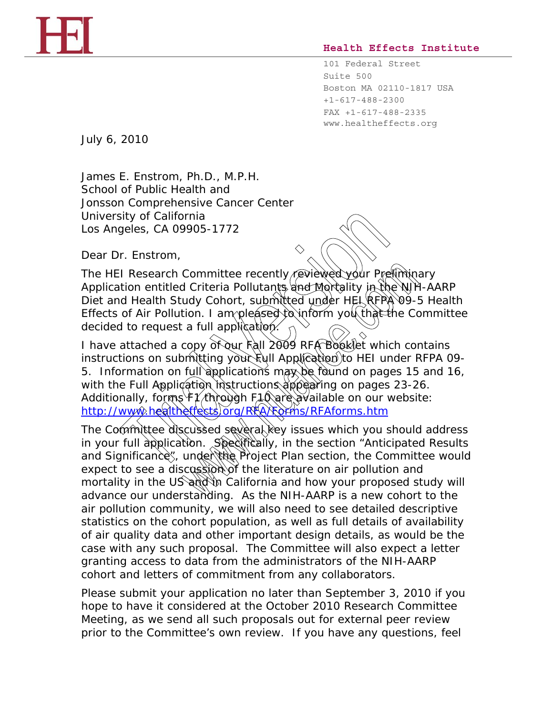## **Health Effects Institute**

101 Federal Street Suite 500 Boston MA 02110-1817 USA +1-617-488-2300 FAX +1-617-488-2335 www.healtheffects.org

July 6, 2010

James E. Enstrom, Ph.D., M.P.H. School of Public Health and Jonsson Comprehensive Cancer Center University of California Los Angeles, CA 09905-1772

Dear Dr. Enstrom,

The HEI Research Committee recently reviewed your Preliminary Application entitled *Criteria Pollutants and Mortality in the NIH-AARP Diet and Health Study Cohort*, submitted under HEI RFPA 09-5 *Health Effects of Air Pollution.* I am pleased to inform you that the Committee decided to request a full application.

I have attached a copy of our Fall 2009 RFA Booklet which contains instructions on submitting your kull Application to HEI under RFPA 09-5. Information on full applications may be found on pages 15 and 16, with the Full Application instructions appearing on pages 23-26. Additionally, forms  $f/\hbar$  through F10 are available on our website: http://www.healtheffects/org/RFA/Forms/RFAforms.htm sity of California<br>geles, CA 09905-1772<br>
Tr. Enstrom,<br>
Tr. Enstrom,<br>
Trial Research Committee recently reviewed your President<br>
Trial Health Study Cohort, submitted under HEL REP,<br>
The of Air Pollution. I am pleased to inf Committee recently reviewed your Prefining<br>
Criteria Pollutants and Mortality in the WF<br>
udy Cohort, submitted under HEL RFPA 09-1<br>
tion. I am pleased to inform you that the Cc<br>
a full application.<br>
copy of our Fall 2009 R

The Committee discussed several key issues which you should address in your full application. Specifically, in the section "Anticipated Results and Significance", under the Project Plan section, the Committee would expect to see a discussion of the literature on air pollution and mortality in the US and in California and how your proposed study will advance our understanding. As the NIH-AARP is a new cohort to the air pollution community, we will also need to see detailed descriptive statistics on the cohort population, as well as full details of availability of air quality data and other important design details, as would be the case with any such proposal. The Committee will also expect a letter granting access to data from the administrators of the NIH-AARP cohort and letters of commitment from any collaborators.

Please submit your application no later than September 3, 2010 if you hope to have it considered at the October 2010 Research Committee Meeting, as we send all such proposals out for external peer review prior to the Committee's own review. If you have any questions, feel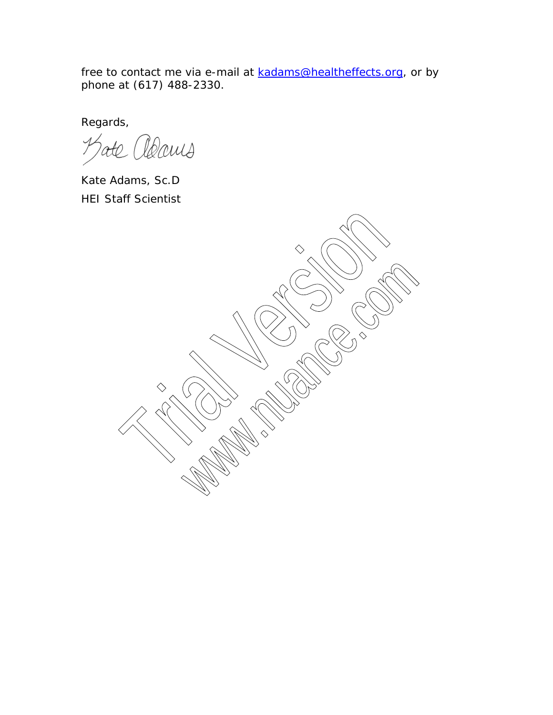free to contact me via e-mail at kadams@healtheffects.org, or by phone at (617) 488-2330.

Regards,

Manis  $\overline{\mathcal{S}}$ 

Kate Adams, Sc.D HEI Staff Scientist

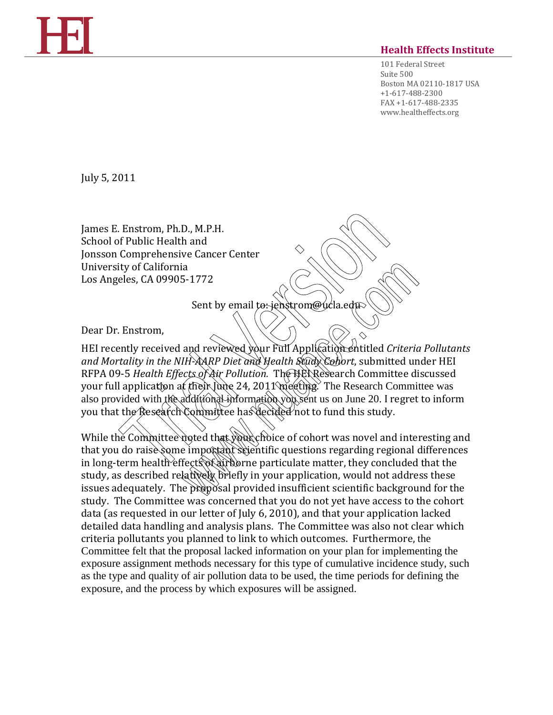## **Health Effects Institute**

101 Federal Street Suite 500 Boston MA 02110-1817 USA +1-617-488-2300 FAX +1-617-488-2335 www.healtheffects.org

July 5, 2011

James E. Enstrom, Ph.D., M.P.H. School of Public Health and Jonsson Comprehensive Cancer Center University of California Los Angeles, CA 09905-1772

Sent by email to: jenstrom@ucla.edu

Dear Dr. Enstrom,

HEI recently received and reviewed your Full Application entitled *Criteria Pollutants and Mortality in the NIH-AARP Diet and Health Study Cohort*, submitted under HEI RFPA 09-5 *Health Effects of Air Pollution.* The HEI Research Committee discussed your full application at their June 24, 2011 meeting. The Research Committee was also provided with the additional information you sent us on June 20. I regret to inform you that the Research Committee has decided not to fund this study. Comprehensive Cancer Center<br>
The Comprehensive Cancer Center<br>
The Comprehensive Cancer Center<br>
The Comprehensive Cancer Center<br>
The California<br>
Sent by email to ienstrom@ucla.edu<br>
The Nife Addition of The Nife Additional V ia<br>
5-1772<br>
Sent by email to jenstrom@ucla.edp<br>
and reviewed your Full Application entitled Criteric<br>
III AMP Diet and Health Stady Conor, submitted un<br>
the AMP Diet and Health Stady Conor, submitted un<br>
the Cher Universit

While the Committee noted that your choice of cohort was novel and interesting and that you do raise some important scientific questions regarding regional differences in long-term health effects of airborne particulate matter, they concluded that the study, as described relatively briefly in your application, would not address these issues adequately. The proposal provided insufficient scientific background for the study. The Committee was concerned that you do not yet have access to the cohort data (as requested in our letter of July 6, 2010), and that your application lacked detailed data handling and analysis plans. The Committee was also not clear which criteria pollutants you planned to link to which outcomes. Furthermore, the Committee felt that the proposal lacked information on your plan for implementing the exposure assignment methods necessary for this type of cumulative incidence study, such as the type and quality of air pollution data to be used, the time periods for defining the exposure, and the process by which exposures will be assigned.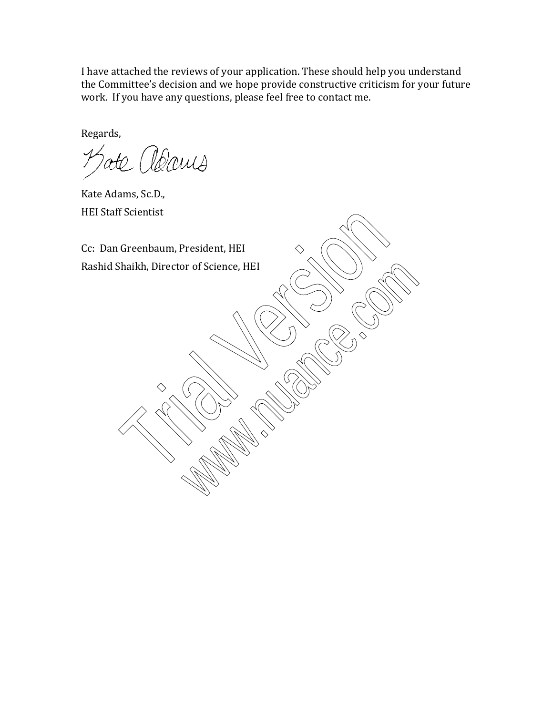I have attached the reviews of your application. These should help you understand the Committee's decision and we hope provide constructive criticism for your future work. If you have any questions, please feel free to contact me.

Regards,

te adams

Kate Adams, Sc.D., HEI Staff Scientist

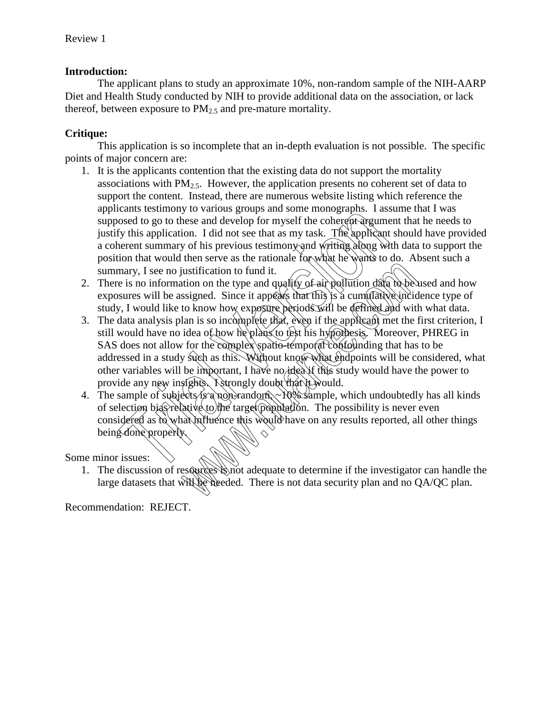# **Introduction:**

The applicant plans to study an approximate 10%, non-random sample of the NIH-AARP Diet and Health Study conducted by NIH to provide additional data on the association, or lack thereof, between exposure to  $PM_{2.5}$  and pre-mature mortality.

# **Critique:**

This application is so incomplete that an in-depth evaluation is not possible. The specific points of major concern are:

- 1. It is the applicants contention that the existing data do not support the mortality associations with  $PM<sub>2.5</sub>$ . However, the application presents no coherent set of data to support the content. Instead, there are numerous website listing which reference the applicants testimony to various groups and some monographs. I assume that I was supposed to go to these and develop for myself the coherent argument that he needs to justify this application. I did not see that as my task. The applicant should have provided a coherent summary of his previous testimony and writing along with data to support the position that would then serve as the rationale for what he wants to do. Absent such a summary, I see no justification to fund it.
- 2. There is no information on the type and quality of air pollution data to be used and how exposures will be assigned. Since it appears that this is a cumulative incidence type of study, I would like to know how exposure periods will be defined and with what data.
- 3. The data analysis plan is so incomplete that, even if the applicant met the first criterion, I still would have no idea of how he plans to test his hypothesis. Moreover, PHREG in SAS does not allow for the complex spatio-temporal confounding that has to be addressed in a study such as this. Without know what endpoints will be considered, what other variables will be important, I have no idea if this study would have the power to provide any new insights. I strongly doubt that it would. From the control of the complete of the control of the investment consideration of the investment summary of his previous testimony and writing along with frequency of his previous testimony and writing along with the app ustification to fund it.<br>
ustification to fund it.<br>
ustification to fund it.<br>
tition on the type and quality of air pollution data to be<br>
ssigned. Since it appears that flus is a cumulative incident<br>
to know how exposure p
- 4. The sample of subjects is a non-random,  $\sim$  10% sample, which undoubtedly has all kinds of selection bias relative to the target population. The possibility is never even considered as to what influence this would have on any results reported, all other things being done properly.

# Some minor issues:

1. The discussion of resources is not adequate to determine if the investigator can handle the large datasets that will be needed. There is not data security plan and no QA/QC plan.

Recommendation: REJECT.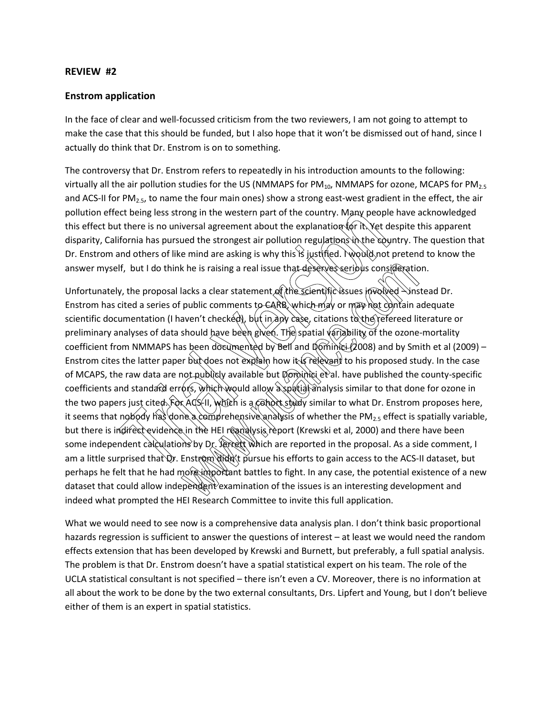#### **REVIEW #2**

### **Enstrom application**

In the face of clear and well-focussed criticism from the two reviewers, I am not going to attempt to make the case that this should be funded, but I also hope that it won't be dismissed out of hand, since I actually do think that Dr. Enstrom is on to something.

The controversy that Dr. Enstrom refers to repeatedly in his introduction amounts to the following: virtually all the air pollution studies for the US (NMMAPS for PM $_{10}$ , NMMAPS for ozone, MCAPS for PM $_{2.5}$ and ACS-II for PM<sub>2.5</sub>, to name the four main ones) show a strong east-west gradient in the effect, the air pollution effect being less strong in the western part of the country. Many people have acknowledged this effect but there is no universal agreement about the explanation for it. Yet despite this apparent disparity, California has pursued the strongest air pollution regulations in the country. The question that Dr. Enstrom and others of like mind are asking is why this is justified. I would not pretend to know the answer myself, but I do think he is raising a real issue that deserves seribus consideration.

Unfortunately, the proposal lacks a clear statement of the scientific issues involved – instead Dr. Enstrom has cited a series of public comments to CARB, which may or may not contain adequate scientific documentation (I haven't checked), but in any case, citations to the refereed literature or preliminary analyses of data should have been given. The spatial variability of the ozone-mortality coefficient from NMMAPS has been documented by Bell and Dominici (2008) and by Smith et al (2009) – Enstrom cites the latter paper but does not explain how it is relevant to his proposed study. In the case of MCAPS, the raw data are not publicly available but Dominici et al. have published the county-specific coefficients and standard errors, which would allow a spatial analysis similar to that done for ozone in the two papers just cited. For XCS-11, which is a conot study similar to what Dr. Enstrom proposes here, it seems that nobody has done a comprehensive analysis of whether the PM<sub>2.5</sub> effect is spatially variable, but there is indirect evidence in the HEI readalysis report (Krewski et al, 2000) and there have been some independent calculations by Dr. Jerrett which are reported in the proposal. As a side comment, I am a little surprised that Qr. Enstrom didn't pursue his efforts to gain access to the ACS-II dataset, but perhaps he felt that he had more important battles to fight. In any case, the potential existence of a new dataset that could allow independent examination of the issues is an interesting development and indeed what prompted the HEI Research Committee to invite this full application. ect being less strong in the western part of the country. Many people<br>it there is no universal agreement about the explanation for it. Yet d<br>ifornia has pursued the strongest air pollution regulations in the count<br>of the m x he is raising a real issue that deserves seribles consideration<br>acks a clear statement of the scientific issues involved  $\sim$  ins<br>public comments to CARB, which may or may not contain a<br>aven't checked), but in any case,

What we would need to see now is a comprehensive data analysis plan. I don't think basic proportional hazards regression is sufficient to answer the questions of interest – at least we would need the random effects extension that has been developed by Krewski and Burnett, but preferably, a full spatial analysis. The problem is that Dr. Enstrom doesn't have a spatial statistical expert on his team. The role of the UCLA statistical consultant is not specified – there isn't even a CV. Moreover, there is no information at all about the work to be done by the two external consultants, Drs. Lipfert and Young, but I don't believe either of them is an expert in spatial statistics.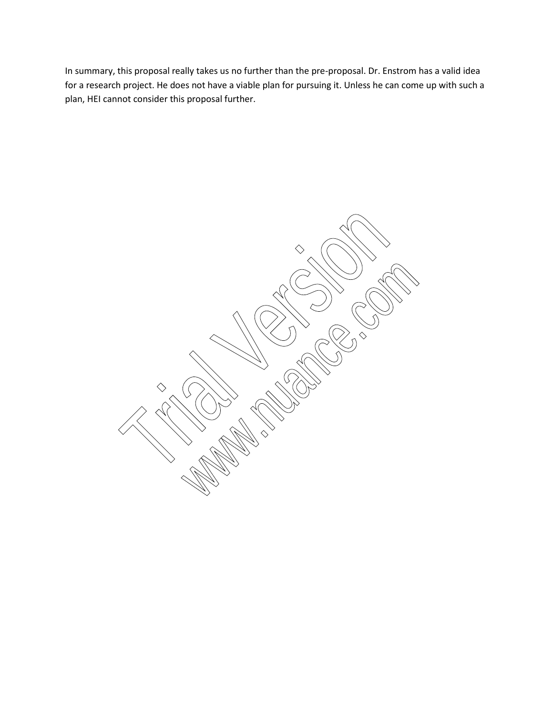In summary, this proposal really takes us no further than the pre-proposal. Dr. Enstrom has a valid idea for a research project. He does not have a viable plan for pursuing it. Unless he can come up with such a plan, HEI cannot consider this proposal further.

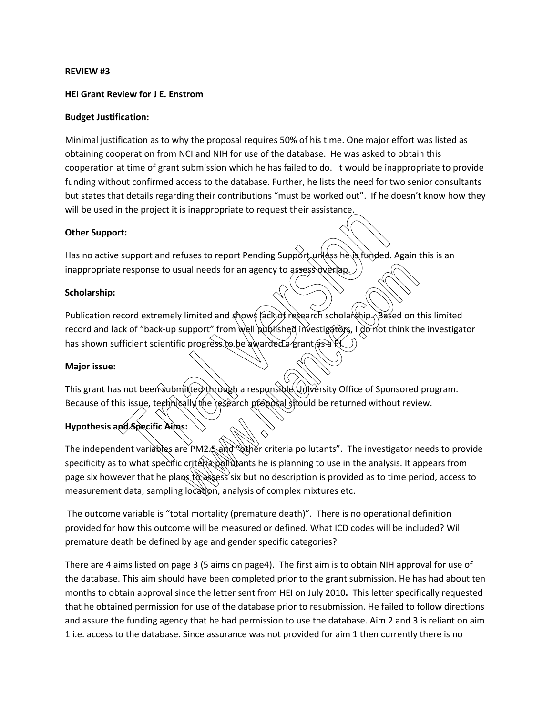#### **REVIEW #3**

#### **HEI Grant Review for J E. Enstrom**

#### **Budget Justification:**

Minimal justification as to why the proposal requires 50% of his time. One major effort was listed as obtaining cooperation from NCI and NIH for use of the database. He was asked to obtain this cooperation at time of grant submission which he has failed to do. It would be inappropriate to provide funding without confirmed access to the database. Further, he lists the need for two senior consultants but states that details regarding their contributions "must be worked out". If he doesn't know how they will be used in the project it is inappropriate to request their assistance.

#### **Other Support:**

Has no active support and refuses to report Pending Support unless he is funded. Again this is an inappropriate response to usual needs for an agency to assess overlap.

#### **Scholarship:**

Publication record extremely limited and shows lack of research scholarship. Based on this limited record and lack of "back-up support" from well published investigators, I do not think the investigator has shown sufficient scientific progress to be awarded a grant  $\alpha$ Trial Version of the project it is inappropriate to request their assistance.<br>
Trial Versions to usual needs for an agency to assess overlap and thought<br>
the response to usual needs for an agency to assess overlap and<br>
eco

#### **Major issue:**

This grant has not been submitted through a responsible University Office of Sponsored program. Because of this issue, technically the research proposal should be returned without review.

## **Hypothesis and Specific Aims:**

The independent variables are PM2.5 and "other criteria pollutants". The investigator needs to provide specificity as to what specific criteria pollutants he is planning to use in the analysis. It appears from page six however that he plans  $\hat{t}$  assess six but no description is provided as to time period, access to measurement data, sampling location, analysis of complex mixtures etc. ual needs for an agency to assess overlap.<br>
limited and shows (ack of research scholarship Sased on tupport" from well published investigators, I do not think the corresponsible awarded a grant (as a RC)<br>
litted through a

The outcome variable is "total mortality (premature death)". There is no operational definition provided for how this outcome will be measured or defined. What ICD codes will be included? Will premature death be defined by age and gender specific categories?

There are 4 aims listed on page 3 (5 aims on page4). The first aim is to obtain NIH approval for use of the database. This aim should have been completed prior to the grant submission. He has had about ten months to obtain approval since the letter sent from HEI on July 2010**.** This letter specifically requested that he obtained permission for use of the database prior to resubmission. He failed to follow directions and assure the funding agency that he had permission to use the database. Aim 2 and 3 is reliant on aim 1 i.e. access to the database. Since assurance was not provided for aim 1 then currently there is no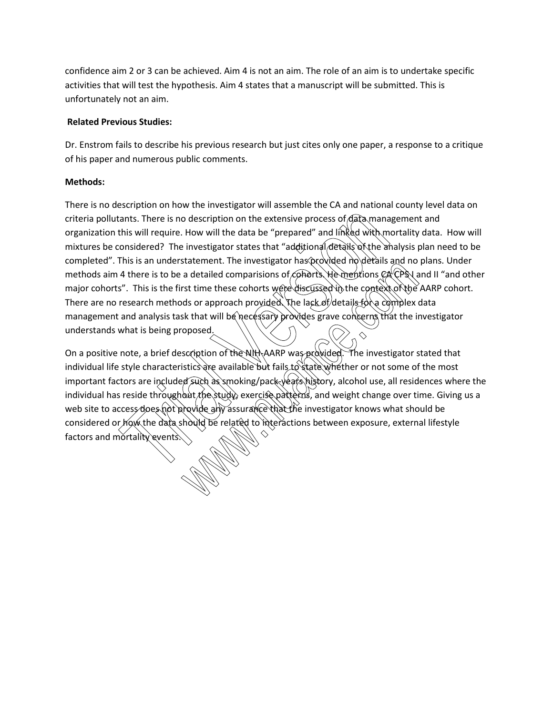confidence aim 2 or 3 can be achieved. Aim 4 is not an aim. The role of an aim is to undertake specific activities that will test the hypothesis. Aim 4 states that a manuscript will be submitted. This is unfortunately not an aim.

## **Related Previous Studies:**

Dr. Enstrom fails to describe his previous research but just cites only one paper, a response to a critique of his paper and numerous public comments.

## **Methods:**

There is no description on how the investigator will assemble the CA and national county level data on criteria pollutants. There is no description on the extensive process of data management and organization this will require. How will the data be "prepared" and linked with mortality data. How will mixtures be considered? The investigator states that "additional details of the analysis plan need to be completed". This is an understatement. The investigator has provided no details and no plans. Under methods aim 4 there is to be a detailed comparisions of conorts. He mentions  $CA$  CPS I and II "and other major cohorts". This is the first time these cohorts were discussed in the context of the AARP cohort. There are no research methods or approach provided. The lack of details for a complex data management and analysis task that will be necessary provides grave concerns that the investigator understands what is being proposed. criteria pollutants. There is no description on the extensive process of data manary and and mortality events.<br>This is in understandent that are "prepared" and linked with mortality of the and mortality of the and mortalit

On a positive note, a brief description of the NIH-AARP was provided. The investigator stated that individual life style characteristics are available but fails to state whether or not some of the most important factors are included such as smoking/pack-years history, alcohol use, all residences where the individual has reside throughout the study, exercise patterns, and weight change over time. Giving us a web site to access does not provide any assurance that the investigator knows what should be considered or how the data should be related to interactions between exposure, external lifestyle a detailed comparisons of contents are in presented in the context of the<br>a detailed comparisons of contents were discussed in the context of the<br>ds or approach provided. The lack of details for a complex is<br>sk that will b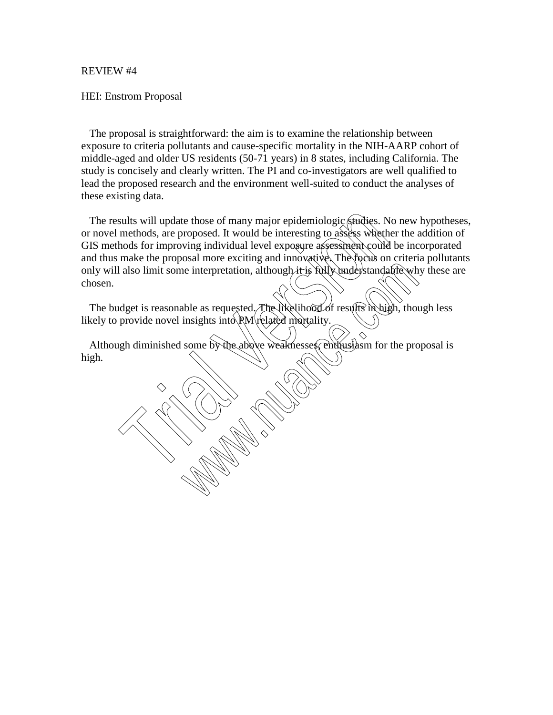#### REVIEW #4

### HEI: Enstrom Proposal

 The proposal is straightforward: the aim is to examine the relationship between exposure to criteria pollutants and cause-specific mortality in the NIH-AARP cohort of middle-aged and older US residents (50-71 years) in 8 states, including California. The study is concisely and clearly written. The PI and co-investigators are well qualified to lead the proposed research and the environment well-suited to conduct the analyses of these existing data.

The results will update those of many major epidemiologic studies. No new hypotheses, or novel methods, are proposed. It would be interesting to assess whether the addition of GIS methods for improving individual level exposure assessment could be incorporated and thus make the proposal more exciting and innovative. The focus on criteria pollutants only will also limit some interpretation, although it is fully understandable why these are chosen. The results will update those of many major epidemiologic studies. Nor novel methods, are proposed. It would be interesting to assess wheth<br>GIS methods for improving individual level exposure assessment could<br>and thus make we interpretation, although it is fully understandable when the interpretation, although it is fully understandable where<br>the as requested. The likelihood of results in high, thoughists into PM related mortality.<br>some by t

The budget is reasonable as requested. The likelihood of results in high, though less likely to provide novel insights into  $RM$  related mortality.

Although diminished some by the above weaknesses, enthusiasm for the proposal is high.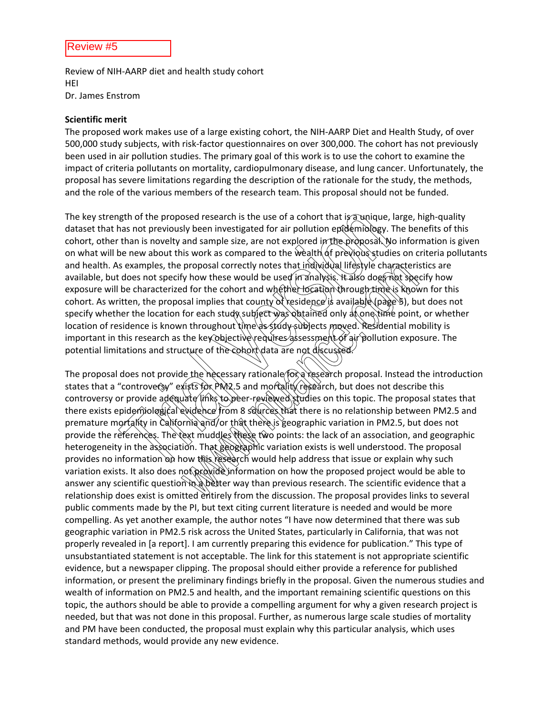Review of NIH‐AARP diet and health study cohort HEI Dr. James Enstrom

#### **Scientific merit**

The proposed work makes use of a large existing cohort, the NIH‐AARP Diet and Health Study, of over 500,000 study subjects, with risk‐factor questionnaires on over 300,000. The cohort has not previously been used in air pollution studies. The primary goal of this work is to use the cohort to examine the impact of criteria pollutants on mortality, cardiopulmonary disease, and lung cancer. Unfortunately, the proposal has severe limitations regarding the description of the rationale for the study, the methods, and the role of the various members of the research team. This proposal should not be funded.

The key strength of the proposed research is the use of a cohort that is a unique, large, high-quality dataset that has not previously been investigated for air pollution epidemiology. The benefits of this cohort, other than is novelty and sample size, are not explored in the proposal. No information is given on what will be new about this work as compared to the wealth of previous studies on criteria pollutants and health. As examples, the proposal correctly notes that individual lifestyle characteristics are available, but does not specify how these would be used in analysis. It also does not specify how exposure will be characterized for the cohort and whether location through time is known for this cohort. As written, the proposal implies that county of residence is available (page 5), but does not specify whether the location for each study subject was obtained only at one time point, or whether location of residence is known throughout time as study subjects moved. Residential mobility is important in this research as the key objective requires assessment of air pollution exposure. The potential limitations and structure of the cohort data are not discusse ngth of the proposed research is the use of a cohort that is a unique,<br>has not previously been investigated for air pollution epidemiology.<br>Than is novelty and sample size, are not explored in the proposal.<br>We new about th

The proposal does not provide the necessary rationale for a research proposal. Instead the introduction states that a "controversy" exists for PN2.5 and mortality research, but does not describe this controversy or provide adequate links to peer-reviewed studies on this topic. The proposal states that there exists epidemiological evidence from 8 sources that there is no relationship between PM2.5 and premature mortality in California and/or that there is geographic variation in PM2.5, but does not provide the references. The text muddles these two points: the lack of an association, and geographic heterogeneity in the association. That geographic variation exists is well understood. The proposal provides no information on how this research would help address that issue or explain why such variation exists. It also does not provide information on how the proposed project would be able to answer any scientific question  $\hat{n}$  better way than previous research. The scientific evidence that a relationship does exist is omitted entirely from the discussion. The proposal provides links to several public comments made by the PI, but text citing current literature is needed and would be more compelling. As yet another example, the author notes "I have now determined that there was sub geographic variation in PM2.5 risk across the United States, particularly in California, that was not properly revealed in [a report]. I am currently preparing this evidence for publication." This type of unsubstantiated statement is not acceptable. The link for this statement is not appropriate scientific evidence, but a newspaper clipping. The proposal should either provide a reference for published information, or present the preliminary findings briefly in the proposal. Given the numerous studies and wealth of information on PM2.5 and health, and the important remaining scientific questions on this topic, the authors should be able to provide a compelling argument for why a given research project is needed, but that was not done in this proposal. Further, as numerous large scale studies of mortality and PM have been conducted, the proposal must explain why this particular analysis, which uses standard methods, would provide any new evidence. proposal correctly notes that individual lifestyle characteri.<br>
y how these would be used in analysis. It also does not speed of the cohort and whether location through time is know<br>
sal implies that county of residence is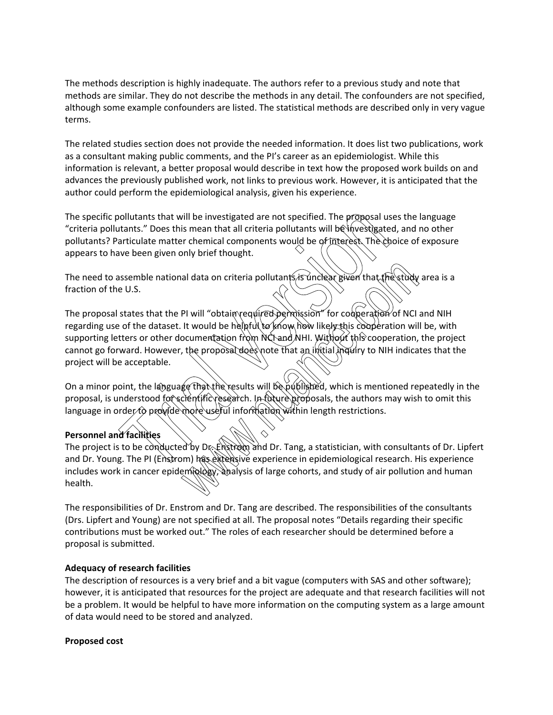The methods description is highly inadequate. The authors refer to a previous study and note that methods are similar. They do not describe the methods in any detail. The confounders are not specified, although some example confounders are listed. The statistical methods are described only in very vague terms.

The related studies section does not provide the needed information. It does list two publications, work as a consultant making public comments, and the PI's career as an epidemiologist. While this information is relevant, a better proposal would describe in text how the proposed work builds on and advances the previously published work, not links to previous work. However, it is anticipated that the author could perform the epidemiological analysis, given his experience.

The specific pollutants that will be investigated are not specified. The proposal uses the language "criteria pollutants." Does this mean that all criteria pollutants will be investigated, and no other pollutants? Particulate matter chemical components would be of interest. The choice of exposure appears to have been given only brief thought.

The need to assemble national data on criteria pollutants is unclear given that the study area is a fraction of the U.S.

The proposal states that the PI will "obtain required permission" for cooperation of NCI and NIH regarding use of the dataset. It would be helpful to know how likely this cooperation will be, with supporting letters or other documentation from NCI and NHI. Without this cooperation, the project cannot go forward. However, the proposal does note that an initial inquiry to NIH indicates that the project will be acceptable. collutants that will be investigated are not specified. The proposal us<br>transts." Does this mean that all criteria pollutants will be investigate<br>transiculate matter chemical components would be of interest. The characteri al data on criteria pollutants is vinclear given that the study<br>Pl will "obtain required permission" for cooperation of NCI<br>It would be helpful to know how likely this cooperation will<br>commentation from NCF and NHI. Withou

On a minor point, the language that the results will be published, which is mentioned repeatedly in the proposal, is understood for scientific research. In future proposals, the authors may wish to omit this language in order to provide more useful information within length restrictions.

## **Personnel and facilities**

The project is to be conducted by Dr. Enstrom and Dr. Tang, a statistician, with consultants of Dr. Lipfert and Dr. Young. The PI (Enstrom) has extensive experience in epidemiological research. His experience includes work in cancer epidemiddogy, analysis of large cohorts, and study of air pollution and human health.

The responsibilities of Dr. Enstrom and Dr. Tang are described. The responsibilities of the consultants (Drs. Lipfert and Young) are not specified at all. The proposal notes "Details regarding their specific contributions must be worked out." The roles of each researcher should be determined before a proposal is submitted.

### **Adequacy of research facilities**

The description of resources is a very brief and a bit vague (computers with SAS and other software); however, it is anticipated that resources for the project are adequate and that research facilities will not be a problem. It would be helpful to have more information on the computing system as a large amount of data would need to be stored and analyzed.

#### **Proposed cost**